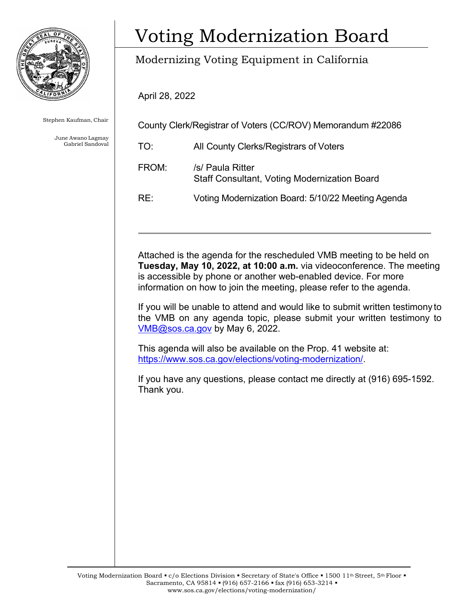

Stephen Kaufman, Chair

June Awano Lagmay Gabriel Sandoval

# **Voting Modernization Board**

## Modernizing Voting Equipment in California

April 28, 2022

County Clerk/Registrar of Voters (CC/ROV) Memorandum #22086

TO: All County Clerks/Registrars of Voters FROM: /s/ Paula Ritter

Staff Consultant, Voting Modernization Board

RE: Voting Modernization Board: 5/10/22 Meeting Agenda

Attached is the agenda for the rescheduled VMB meeting to be held on **Tuesday, May 10, 2022, at 10:00 a.m.** via videoconference. The meeting is accessible by phone or another web-enabled device. For more information on how to join the meeting, please refer to the agenda.

If you will be unable to attend and would like to submit written testimony to the VMB on any agenda topic, please submit your written testimony to [VMB@sos.ca.gov](mailto:VMB@sos.ca.gov) by May 6, 2022.

This agenda will also be available on the Prop. 41 website at: [https://www.sos.ca.gov/elections/voting-modernization/.](https://www.sos.ca.gov/elections/voting-modernization/)

If you have any questions, please contact me directly at (916) 695-1592. Thank you.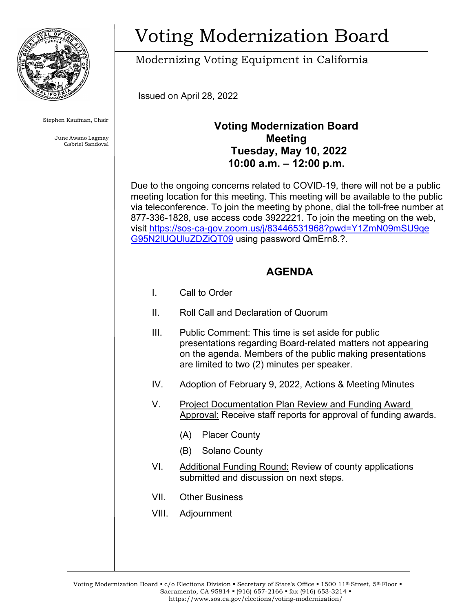

Stephen Kaufman, Chair

June Awano Lagmay Gabriel Sandoval

# Voting Modernization Board

Modernizing Voting Equipment in California

Issued on April 28, 2022

### **Voting Modernization Board Meeting Tuesday, May 10, 2022 10:00 a.m. – 12:00 p.m.**

Due to the ongoing concerns related to COVID-19, there will not be a public meeting location for this meeting. This meeting will be available to the public via teleconference. To join the meeting by phone, dial the toll-free number at 877-336-1828, use access code 3922221. To join the meeting on the web, visit [https://sos-ca-gov.zoom.us/j/83446531968?pwd=Y1ZmN09mSU9qe](https://sos-ca-gov.zoom.us/j/83446531968?pwd=Y1ZmN09mSU9qeG95N2lUQUluZDZiQT09) [G95N2lUQUluZDZiQT09](https://sos-ca-gov.zoom.us/j/83446531968?pwd=Y1ZmN09mSU9qeG95N2lUQUluZDZiQT09) using password QmErn8.?.

### **AGENDA**

- I. Call to Order
- II. Roll Call and Declaration of Quorum
- III. Public Comment: This time is set aside for public presentations regarding Board-related matters not appearing on the agenda. Members of the public making presentations are limited to two (2) minutes per speaker.
- IV. Adoption of February 9, 2022, Actions & Meeting Minutes
- V. Project Documentation Plan Review and Funding Award Approval: Receive staff reports for approval of funding awards.
	- (A) Placer County
	- (B) Solano County
- VI. Additional Funding Round: Review of county applications submitted and discussion on next steps.
- VII. Other Business
- VIII. Adjournment